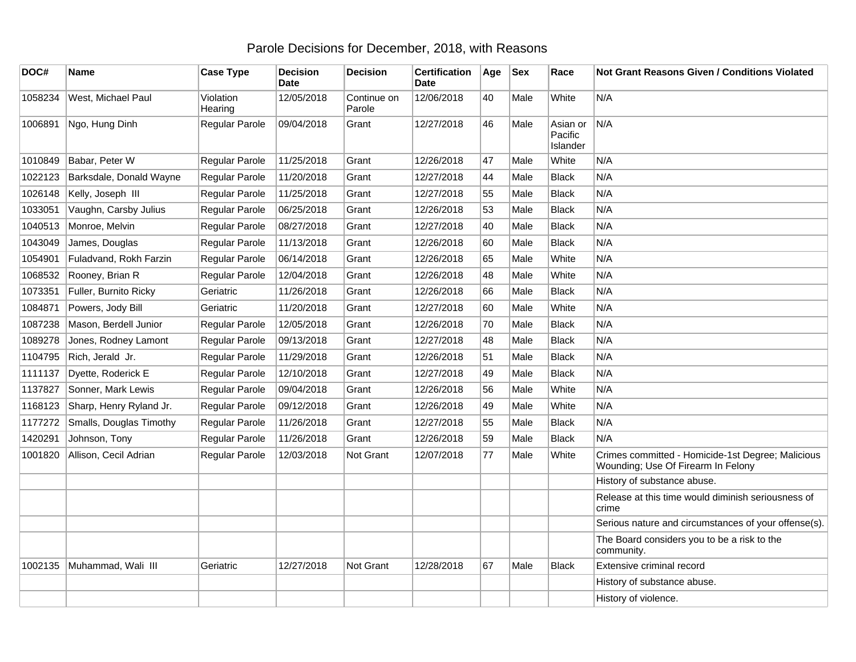## Parole Decisions for December, 2018, with Reasons

| DOC#    | Name                    | <b>Case Type</b>     | <b>Decision</b><br><b>Date</b> | <b>Decision</b>       | <b>Certification</b><br><b>Date</b> | Age | <b>Sex</b> | Race                            | <b>Not Grant Reasons Given / Conditions Violated</b>                                    |
|---------|-------------------------|----------------------|--------------------------------|-----------------------|-------------------------------------|-----|------------|---------------------------------|-----------------------------------------------------------------------------------------|
| 1058234 | West, Michael Paul      | Violation<br>Hearing | 12/05/2018                     | Continue on<br>Parole | 12/06/2018                          | 40  | Male       | White                           | N/A                                                                                     |
| 1006891 | Ngo, Hung Dinh          | Regular Parole       | 09/04/2018                     | Grant                 | 12/27/2018                          | 46  | Male       | Asian or<br>Pacific<br>Islander | N/A                                                                                     |
| 1010849 | Babar, Peter W          | Regular Parole       | 11/25/2018                     | Grant                 | 12/26/2018                          | 47  | Male       | White                           | N/A                                                                                     |
| 1022123 | Barksdale, Donald Wayne | Regular Parole       | 11/20/2018                     | Grant                 | 12/27/2018                          | 44  | Male       | <b>Black</b>                    | N/A                                                                                     |
| 1026148 | Kelly, Joseph III       | Regular Parole       | 11/25/2018                     | Grant                 | 12/27/2018                          | 55  | Male       | <b>Black</b>                    | N/A                                                                                     |
| 1033051 | Vaughn, Carsby Julius   | Regular Parole       | 06/25/2018                     | Grant                 | 12/26/2018                          | 53  | Male       | <b>Black</b>                    | N/A                                                                                     |
| 1040513 | Monroe, Melvin          | Regular Parole       | 08/27/2018                     | Grant                 | 12/27/2018                          | 40  | Male       | <b>Black</b>                    | N/A                                                                                     |
| 1043049 | James, Douglas          | Regular Parole       | 11/13/2018                     | Grant                 | 12/26/2018                          | 60  | Male       | <b>Black</b>                    | N/A                                                                                     |
| 1054901 | Fuladvand, Rokh Farzin  | Regular Parole       | 06/14/2018                     | Grant                 | 12/26/2018                          | 65  | Male       | White                           | N/A                                                                                     |
| 1068532 | Rooney, Brian R         | Regular Parole       | 12/04/2018                     | Grant                 | 12/26/2018                          | 48  | Male       | White                           | N/A                                                                                     |
| 1073351 | Fuller, Burnito Ricky   | Geriatric            | 11/26/2018                     | Grant                 | 12/26/2018                          | 66  | Male       | <b>Black</b>                    | N/A                                                                                     |
| 1084871 | Powers, Jody Bill       | Geriatric            | 11/20/2018                     | Grant                 | 12/27/2018                          | 60  | Male       | White                           | N/A                                                                                     |
| 1087238 | Mason, Berdell Junior   | Regular Parole       | 12/05/2018                     | Grant                 | 12/26/2018                          | 70  | Male       | <b>Black</b>                    | N/A                                                                                     |
| 1089278 | Jones, Rodney Lamont    | Regular Parole       | 09/13/2018                     | Grant                 | 12/27/2018                          | 48  | Male       | <b>Black</b>                    | N/A                                                                                     |
| 1104795 | Rich, Jerald Jr.        | Regular Parole       | 11/29/2018                     | Grant                 | 12/26/2018                          | 51  | Male       | <b>Black</b>                    | N/A                                                                                     |
| 1111137 | Dyette, Roderick E      | Regular Parole       | 12/10/2018                     | Grant                 | 12/27/2018                          | 49  | Male       | <b>Black</b>                    | N/A                                                                                     |
| 1137827 | Sonner, Mark Lewis      | Regular Parole       | 09/04/2018                     | Grant                 | 12/26/2018                          | 56  | Male       | White                           | N/A                                                                                     |
| 1168123 | Sharp, Henry Ryland Jr. | Regular Parole       | 09/12/2018                     | Grant                 | 12/26/2018                          | 49  | Male       | White                           | N/A                                                                                     |
| 1177272 | Smalls, Douglas Timothy | Regular Parole       | 11/26/2018                     | Grant                 | 12/27/2018                          | 55  | Male       | <b>Black</b>                    | N/A                                                                                     |
| 1420291 | Johnson, Tony           | Regular Parole       | 11/26/2018                     | Grant                 | 12/26/2018                          | 59  | Male       | <b>Black</b>                    | N/A                                                                                     |
| 1001820 | Allison, Cecil Adrian   | Regular Parole       | 12/03/2018                     | Not Grant             | 12/07/2018                          | 77  | Male       | White                           | Crimes committed - Homicide-1st Degree; Malicious<br>Wounding; Use Of Firearm In Felony |
|         |                         |                      |                                |                       |                                     |     |            |                                 | History of substance abuse.                                                             |
|         |                         |                      |                                |                       |                                     |     |            |                                 | Release at this time would diminish seriousness of<br>crime                             |
|         |                         |                      |                                |                       |                                     |     |            |                                 | Serious nature and circumstances of your offense(s).                                    |
|         |                         |                      |                                |                       |                                     |     |            |                                 | The Board considers you to be a risk to the<br>community.                               |
| 1002135 | Muhammad, Wali III      | Geriatric            | 12/27/2018                     | Not Grant             | 12/28/2018                          | 67  | Male       | Black                           | Extensive criminal record                                                               |
|         |                         |                      |                                |                       |                                     |     |            |                                 | History of substance abuse.                                                             |
|         |                         |                      |                                |                       |                                     |     |            |                                 | History of violence.                                                                    |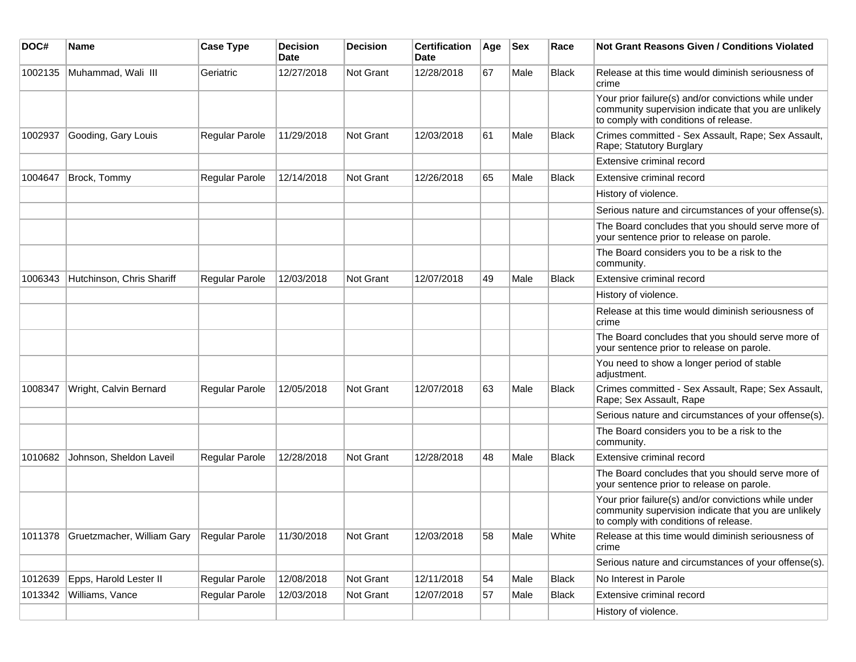| DOC#    | <b>Name</b>                | <b>Case Type</b> | <b>Decision</b><br><b>Date</b> | Decision  | <b>Certification</b><br>Date | Age | <b>Sex</b> | Race         | Not Grant Reasons Given / Conditions Violated                                                                                                         |
|---------|----------------------------|------------------|--------------------------------|-----------|------------------------------|-----|------------|--------------|-------------------------------------------------------------------------------------------------------------------------------------------------------|
| 1002135 | Muhammad, Wali III         | Geriatric        | 12/27/2018                     | Not Grant | 12/28/2018                   | 67  | Male       | <b>Black</b> | Release at this time would diminish seriousness of<br>crime                                                                                           |
|         |                            |                  |                                |           |                              |     |            |              | Your prior failure(s) and/or convictions while under<br>community supervision indicate that you are unlikely<br>to comply with conditions of release. |
| 1002937 | Gooding, Gary Louis        | Regular Parole   | 11/29/2018                     | Not Grant | 12/03/2018                   | 61  | Male       | <b>Black</b> | Crimes committed - Sex Assault, Rape; Sex Assault,<br>Rape; Statutory Burglary                                                                        |
|         |                            |                  |                                |           |                              |     |            |              | Extensive criminal record                                                                                                                             |
| 1004647 | Brock, Tommy               | Regular Parole   | 12/14/2018                     | Not Grant | 12/26/2018                   | 65  | Male       | <b>Black</b> | Extensive criminal record                                                                                                                             |
|         |                            |                  |                                |           |                              |     |            |              | History of violence.                                                                                                                                  |
|         |                            |                  |                                |           |                              |     |            |              | Serious nature and circumstances of your offense(s).                                                                                                  |
|         |                            |                  |                                |           |                              |     |            |              | The Board concludes that you should serve more of<br>your sentence prior to release on parole.                                                        |
|         |                            |                  |                                |           |                              |     |            |              | The Board considers you to be a risk to the<br>community.                                                                                             |
| 1006343 | Hutchinson, Chris Shariff  | Regular Parole   | 12/03/2018                     | Not Grant | 12/07/2018                   | 49  | Male       | <b>Black</b> | Extensive criminal record                                                                                                                             |
|         |                            |                  |                                |           |                              |     |            |              | History of violence.                                                                                                                                  |
|         |                            |                  |                                |           |                              |     |            |              | Release at this time would diminish seriousness of<br>crime                                                                                           |
|         |                            |                  |                                |           |                              |     |            |              | The Board concludes that you should serve more of<br>your sentence prior to release on parole.                                                        |
|         |                            |                  |                                |           |                              |     |            |              | You need to show a longer period of stable<br>adjustment.                                                                                             |
| 1008347 | Wright, Calvin Bernard     | Regular Parole   | 12/05/2018                     | Not Grant | 12/07/2018                   | 63  | Male       | <b>Black</b> | Crimes committed - Sex Assault, Rape; Sex Assault,<br>Rape; Sex Assault, Rape                                                                         |
|         |                            |                  |                                |           |                              |     |            |              | Serious nature and circumstances of your offense(s).                                                                                                  |
|         |                            |                  |                                |           |                              |     |            |              | The Board considers you to be a risk to the<br>community.                                                                                             |
| 1010682 | Johnson, Sheldon Laveil    | Regular Parole   | 12/28/2018                     | Not Grant | 12/28/2018                   | 48  | Male       | <b>Black</b> | Extensive criminal record                                                                                                                             |
|         |                            |                  |                                |           |                              |     |            |              | The Board concludes that you should serve more of<br>your sentence prior to release on parole.                                                        |
|         |                            |                  |                                |           |                              |     |            |              | Your prior failure(s) and/or convictions while under<br>community supervision indicate that you are unlikely<br>to comply with conditions of release. |
| 1011378 | Gruetzmacher, William Gary | Regular Parole   | 11/30/2018                     | Not Grant | 12/03/2018                   | 58  | Male       | White        | Release at this time would diminish seriousness of<br>crime                                                                                           |
|         |                            |                  |                                |           |                              |     |            |              | Serious nature and circumstances of your offense(s).                                                                                                  |
| 1012639 | Epps, Harold Lester II     | Regular Parole   | 12/08/2018                     | Not Grant | 12/11/2018                   | 54  | Male       | Black        | No Interest in Parole                                                                                                                                 |
| 1013342 | Williams, Vance            | Regular Parole   | 12/03/2018                     | Not Grant | 12/07/2018                   | 57  | Male       | <b>Black</b> | Extensive criminal record                                                                                                                             |
|         |                            |                  |                                |           |                              |     |            |              | History of violence.                                                                                                                                  |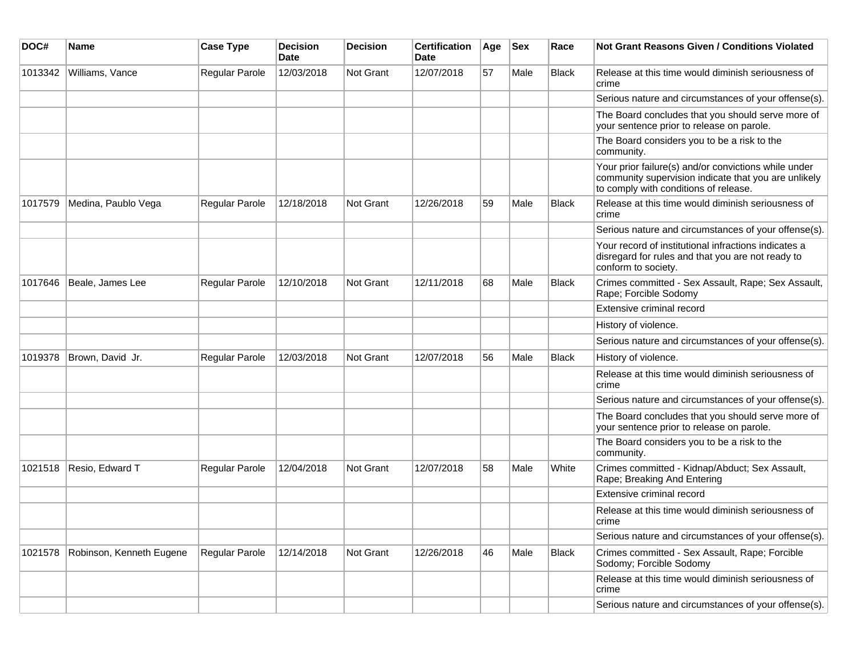| DOC#    | Name                     | <b>Case Type</b> | <b>Decision</b><br><b>Date</b> | <b>Decision</b> | <b>Certification</b><br>Date | Age | <b>Sex</b> | Race         | Not Grant Reasons Given / Conditions Violated                                                                                                         |
|---------|--------------------------|------------------|--------------------------------|-----------------|------------------------------|-----|------------|--------------|-------------------------------------------------------------------------------------------------------------------------------------------------------|
| 1013342 | Williams, Vance          | Regular Parole   | 12/03/2018                     | Not Grant       | 12/07/2018                   | 57  | Male       | Black        | Release at this time would diminish seriousness of<br>crime                                                                                           |
|         |                          |                  |                                |                 |                              |     |            |              | Serious nature and circumstances of your offense(s).                                                                                                  |
|         |                          |                  |                                |                 |                              |     |            |              | The Board concludes that you should serve more of<br>your sentence prior to release on parole.                                                        |
|         |                          |                  |                                |                 |                              |     |            |              | The Board considers you to be a risk to the<br>community.                                                                                             |
|         |                          |                  |                                |                 |                              |     |            |              | Your prior failure(s) and/or convictions while under<br>community supervision indicate that you are unlikely<br>to comply with conditions of release. |
| 1017579 | Medina, Paublo Vega      | Regular Parole   | 12/18/2018                     | Not Grant       | 12/26/2018                   | 59  | Male       | <b>Black</b> | Release at this time would diminish seriousness of<br>crime                                                                                           |
|         |                          |                  |                                |                 |                              |     |            |              | Serious nature and circumstances of your offense(s).                                                                                                  |
|         |                          |                  |                                |                 |                              |     |            |              | Your record of institutional infractions indicates a<br>disregard for rules and that you are not ready to<br>conform to society.                      |
| 1017646 | Beale, James Lee         | Regular Parole   | 12/10/2018                     | Not Grant       | 12/11/2018                   | 68  | Male       | <b>Black</b> | Crimes committed - Sex Assault, Rape; Sex Assault,<br>Rape; Forcible Sodomy                                                                           |
|         |                          |                  |                                |                 |                              |     |            |              | Extensive criminal record                                                                                                                             |
|         |                          |                  |                                |                 |                              |     |            |              | History of violence.                                                                                                                                  |
|         |                          |                  |                                |                 |                              |     |            |              | Serious nature and circumstances of your offense(s).                                                                                                  |
| 1019378 | Brown, David Jr.         | Regular Parole   | 12/03/2018                     | Not Grant       | 12/07/2018                   | 56  | Male       | <b>Black</b> | History of violence.                                                                                                                                  |
|         |                          |                  |                                |                 |                              |     |            |              | Release at this time would diminish seriousness of<br>crime                                                                                           |
|         |                          |                  |                                |                 |                              |     |            |              | Serious nature and circumstances of your offense(s).                                                                                                  |
|         |                          |                  |                                |                 |                              |     |            |              | The Board concludes that you should serve more of<br>your sentence prior to release on parole.                                                        |
|         |                          |                  |                                |                 |                              |     |            |              | The Board considers you to be a risk to the<br>community.                                                                                             |
| 1021518 | Resio, Edward T          | Regular Parole   | 12/04/2018                     | Not Grant       | 12/07/2018                   | 58  | Male       | White        | Crimes committed - Kidnap/Abduct; Sex Assault,<br>Rape; Breaking And Entering                                                                         |
|         |                          |                  |                                |                 |                              |     |            |              | Extensive criminal record                                                                                                                             |
|         |                          |                  |                                |                 |                              |     |            |              | Release at this time would diminish seriousness of<br>crime                                                                                           |
|         |                          |                  |                                |                 |                              |     |            |              | Serious nature and circumstances of your offense(s).                                                                                                  |
| 1021578 | Robinson, Kenneth Eugene | Regular Parole   | 12/14/2018                     | Not Grant       | 12/26/2018                   | 46  | Male       | Black        | Crimes committed - Sex Assault, Rape; Forcible<br>Sodomy; Forcible Sodomy                                                                             |
|         |                          |                  |                                |                 |                              |     |            |              | Release at this time would diminish seriousness of<br>crime                                                                                           |
|         |                          |                  |                                |                 |                              |     |            |              | Serious nature and circumstances of your offense(s).                                                                                                  |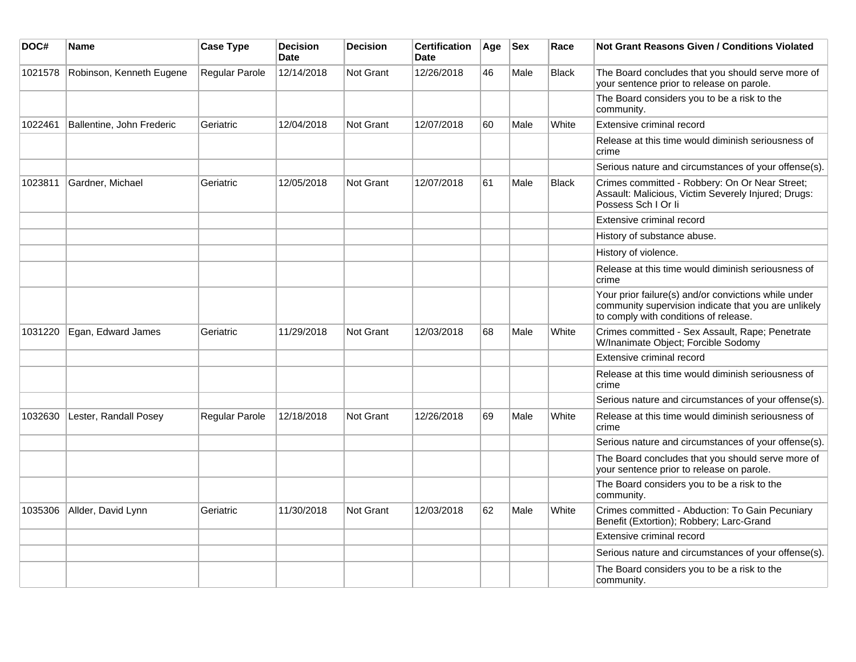| DOC#    | Name                      | <b>Case Type</b> | <b>Decision</b><br><b>Date</b> | <b>Decision</b>  | <b>Certification</b><br>Date | Age | <b>Sex</b> | Race         | <b>Not Grant Reasons Given / Conditions Violated</b>                                                                                                  |
|---------|---------------------------|------------------|--------------------------------|------------------|------------------------------|-----|------------|--------------|-------------------------------------------------------------------------------------------------------------------------------------------------------|
| 1021578 | Robinson, Kenneth Eugene  | Regular Parole   | 12/14/2018                     | <b>Not Grant</b> | 12/26/2018                   | 46  | Male       | <b>Black</b> | The Board concludes that you should serve more of<br>your sentence prior to release on parole.                                                        |
|         |                           |                  |                                |                  |                              |     |            |              | The Board considers you to be a risk to the<br>community.                                                                                             |
| 1022461 | Ballentine, John Frederic | Geriatric        | 12/04/2018                     | <b>Not Grant</b> | 12/07/2018                   | 60  | Male       | White        | Extensive criminal record                                                                                                                             |
|         |                           |                  |                                |                  |                              |     |            |              | Release at this time would diminish seriousness of<br>crime                                                                                           |
|         |                           |                  |                                |                  |                              |     |            |              | Serious nature and circumstances of your offense(s).                                                                                                  |
| 1023811 | Gardner, Michael          | Geriatric        | 12/05/2018                     | <b>Not Grant</b> | 12/07/2018                   | 61  | Male       | <b>Black</b> | Crimes committed - Robbery: On Or Near Street;<br>Assault: Malicious, Victim Severely Injured; Drugs:<br>Possess Sch I Or li                          |
|         |                           |                  |                                |                  |                              |     |            |              | Extensive criminal record                                                                                                                             |
|         |                           |                  |                                |                  |                              |     |            |              | History of substance abuse.                                                                                                                           |
|         |                           |                  |                                |                  |                              |     |            |              | History of violence.                                                                                                                                  |
|         |                           |                  |                                |                  |                              |     |            |              | Release at this time would diminish seriousness of<br>crime                                                                                           |
|         |                           |                  |                                |                  |                              |     |            |              | Your prior failure(s) and/or convictions while under<br>community supervision indicate that you are unlikely<br>to comply with conditions of release. |
| 1031220 | Egan, Edward James        | Geriatric        | 11/29/2018                     | <b>Not Grant</b> | 12/03/2018                   | 68  | Male       | White        | Crimes committed - Sex Assault, Rape; Penetrate<br>W/Inanimate Object; Forcible Sodomy                                                                |
|         |                           |                  |                                |                  |                              |     |            |              | Extensive criminal record                                                                                                                             |
|         |                           |                  |                                |                  |                              |     |            |              | Release at this time would diminish seriousness of<br>crime                                                                                           |
|         |                           |                  |                                |                  |                              |     |            |              | Serious nature and circumstances of your offense(s).                                                                                                  |
| 1032630 | Lester, Randall Posey     | Regular Parole   | 12/18/2018                     | Not Grant        | 12/26/2018                   | 69  | Male       | White        | Release at this time would diminish seriousness of<br>crime                                                                                           |
|         |                           |                  |                                |                  |                              |     |            |              | Serious nature and circumstances of your offense(s).                                                                                                  |
|         |                           |                  |                                |                  |                              |     |            |              | The Board concludes that you should serve more of<br>your sentence prior to release on parole.                                                        |
|         |                           |                  |                                |                  |                              |     |            |              | The Board considers you to be a risk to the<br>community.                                                                                             |
| 1035306 | Allder, David Lynn        | Geriatric        | 11/30/2018                     | <b>Not Grant</b> | 12/03/2018                   | 62  | Male       | White        | Crimes committed - Abduction: To Gain Pecuniary<br>Benefit (Extortion); Robbery; Larc-Grand                                                           |
|         |                           |                  |                                |                  |                              |     |            |              | Extensive criminal record                                                                                                                             |
|         |                           |                  |                                |                  |                              |     |            |              | Serious nature and circumstances of your offense(s).                                                                                                  |
|         |                           |                  |                                |                  |                              |     |            |              | The Board considers you to be a risk to the<br>community.                                                                                             |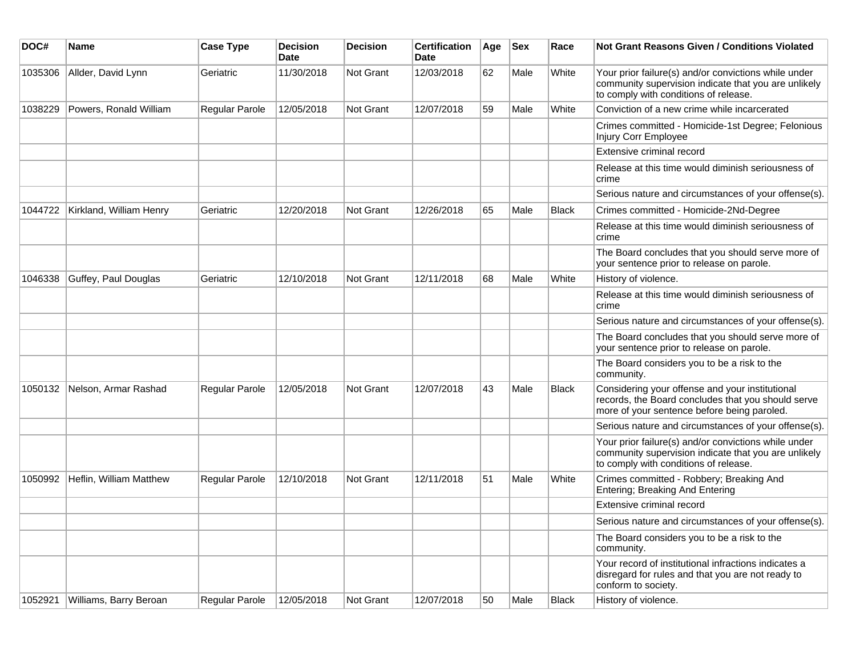| DOC#    | Name                    | <b>Case Type</b> | <b>Decision</b><br>Date | <b>Decision</b>  | <b>Certification</b><br>Date | Age | <b>Sex</b> | Race         | <b>Not Grant Reasons Given / Conditions Violated</b>                                                                                                  |
|---------|-------------------------|------------------|-------------------------|------------------|------------------------------|-----|------------|--------------|-------------------------------------------------------------------------------------------------------------------------------------------------------|
| 1035306 | Allder, David Lynn      | Geriatric        | 11/30/2018              | Not Grant        | 12/03/2018                   | 62  | Male       | White        | Your prior failure(s) and/or convictions while under<br>community supervision indicate that you are unlikely<br>to comply with conditions of release. |
| 1038229 | Powers, Ronald William  | Regular Parole   | 12/05/2018              | Not Grant        | 12/07/2018                   | 59  | Male       | White        | Conviction of a new crime while incarcerated                                                                                                          |
|         |                         |                  |                         |                  |                              |     |            |              | Crimes committed - Homicide-1st Degree; Felonious<br>Injury Corr Employee                                                                             |
|         |                         |                  |                         |                  |                              |     |            |              | Extensive criminal record                                                                                                                             |
|         |                         |                  |                         |                  |                              |     |            |              | Release at this time would diminish seriousness of<br>crime                                                                                           |
|         |                         |                  |                         |                  |                              |     |            |              | Serious nature and circumstances of your offense(s).                                                                                                  |
| 1044722 | Kirkland, William Henry | Geriatric        | 12/20/2018              | <b>Not Grant</b> | 12/26/2018                   | 65  | Male       | <b>Black</b> | Crimes committed - Homicide-2Nd-Degree                                                                                                                |
|         |                         |                  |                         |                  |                              |     |            |              | Release at this time would diminish seriousness of<br>crime                                                                                           |
|         |                         |                  |                         |                  |                              |     |            |              | The Board concludes that you should serve more of<br>your sentence prior to release on parole.                                                        |
| 1046338 | Guffey, Paul Douglas    | Geriatric        | 12/10/2018              | Not Grant        | 12/11/2018                   | 68  | Male       | White        | History of violence.                                                                                                                                  |
|         |                         |                  |                         |                  |                              |     |            |              | Release at this time would diminish seriousness of<br>crime                                                                                           |
|         |                         |                  |                         |                  |                              |     |            |              | Serious nature and circumstances of your offense(s).                                                                                                  |
|         |                         |                  |                         |                  |                              |     |            |              | The Board concludes that you should serve more of<br>your sentence prior to release on parole.                                                        |
|         |                         |                  |                         |                  |                              |     |            |              | The Board considers you to be a risk to the<br>community.                                                                                             |
| 1050132 | Nelson, Armar Rashad    | Regular Parole   | 12/05/2018              | Not Grant        | 12/07/2018                   | 43  | Male       | <b>Black</b> | Considering your offense and your institutional<br>records, the Board concludes that you should serve<br>more of your sentence before being paroled.  |
|         |                         |                  |                         |                  |                              |     |            |              | Serious nature and circumstances of your offense(s).                                                                                                  |
|         |                         |                  |                         |                  |                              |     |            |              | Your prior failure(s) and/or convictions while under<br>community supervision indicate that you are unlikely<br>to comply with conditions of release. |
| 1050992 | Heflin, William Matthew | Regular Parole   | 12/10/2018              | <b>Not Grant</b> | 12/11/2018                   | 51  | Male       | White        | Crimes committed - Robbery; Breaking And<br>Entering; Breaking And Entering                                                                           |
|         |                         |                  |                         |                  |                              |     |            |              | Extensive criminal record                                                                                                                             |
|         |                         |                  |                         |                  |                              |     |            |              | Serious nature and circumstances of your offense(s).                                                                                                  |
|         |                         |                  |                         |                  |                              |     |            |              | The Board considers you to be a risk to the<br>community.                                                                                             |
|         |                         |                  |                         |                  |                              |     |            |              | Your record of institutional infractions indicates a<br>disregard for rules and that you are not ready to<br>conform to society.                      |
| 1052921 | Williams, Barry Beroan  | Regular Parole   | 12/05/2018              | Not Grant        | 12/07/2018                   | 50  | Male       | Black        | History of violence.                                                                                                                                  |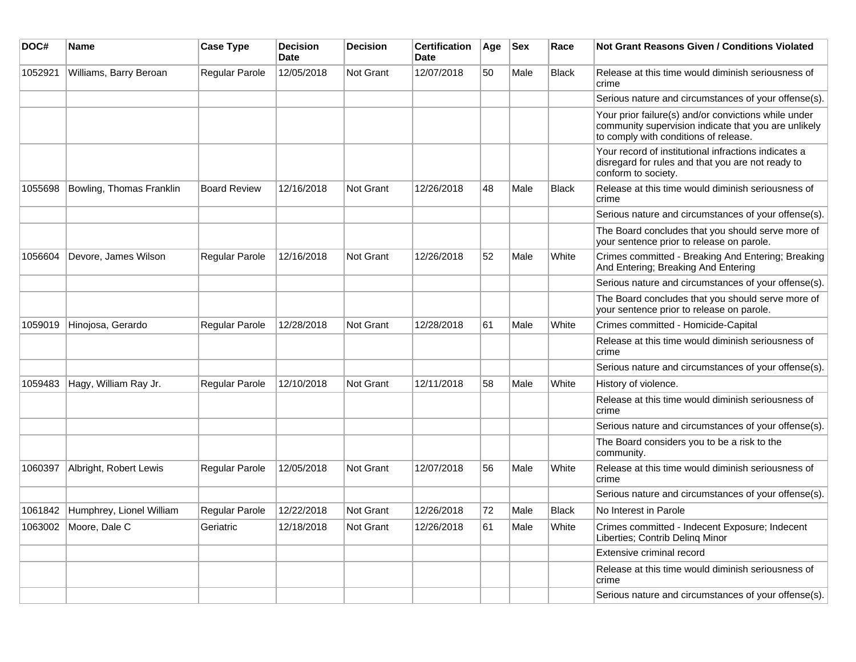| DOC#    | <b>Name</b>              | <b>Case Type</b>      | <b>Decision</b><br><b>Date</b> | <b>Decision</b>  | <b>Certification</b><br><b>Date</b> | Age | <b>Sex</b> | Race         | <b>Not Grant Reasons Given / Conditions Violated</b>                                                                                                  |
|---------|--------------------------|-----------------------|--------------------------------|------------------|-------------------------------------|-----|------------|--------------|-------------------------------------------------------------------------------------------------------------------------------------------------------|
| 1052921 | Williams, Barry Beroan   | Regular Parole        | 12/05/2018                     | Not Grant        | 12/07/2018                          | 50  | Male       | <b>Black</b> | Release at this time would diminish seriousness of<br>crime                                                                                           |
|         |                          |                       |                                |                  |                                     |     |            |              | Serious nature and circumstances of your offense(s).                                                                                                  |
|         |                          |                       |                                |                  |                                     |     |            |              | Your prior failure(s) and/or convictions while under<br>community supervision indicate that you are unlikely<br>to comply with conditions of release. |
|         |                          |                       |                                |                  |                                     |     |            |              | Your record of institutional infractions indicates a<br>disregard for rules and that you are not ready to<br>conform to society.                      |
| 1055698 | Bowling, Thomas Franklin | <b>Board Review</b>   | 12/16/2018                     | Not Grant        | 12/26/2018                          | 48  | Male       | <b>Black</b> | Release at this time would diminish seriousness of<br>crime                                                                                           |
|         |                          |                       |                                |                  |                                     |     |            |              | Serious nature and circumstances of your offense(s).                                                                                                  |
|         |                          |                       |                                |                  |                                     |     |            |              | The Board concludes that you should serve more of<br>your sentence prior to release on parole.                                                        |
| 1056604 | Devore, James Wilson     | <b>Regular Parole</b> | 12/16/2018                     | Not Grant        | 12/26/2018                          | 52  | Male       | White        | Crimes committed - Breaking And Entering; Breaking<br>And Entering; Breaking And Entering                                                             |
|         |                          |                       |                                |                  |                                     |     |            |              | Serious nature and circumstances of your offense(s).                                                                                                  |
|         |                          |                       |                                |                  |                                     |     |            |              | The Board concludes that you should serve more of<br>your sentence prior to release on parole.                                                        |
| 1059019 | Hinojosa, Gerardo        | Regular Parole        | 12/28/2018                     | <b>Not Grant</b> | 12/28/2018                          | 61  | Male       | White        | Crimes committed - Homicide-Capital                                                                                                                   |
|         |                          |                       |                                |                  |                                     |     |            |              | Release at this time would diminish seriousness of<br>crime                                                                                           |
|         |                          |                       |                                |                  |                                     |     |            |              | Serious nature and circumstances of your offense(s).                                                                                                  |
| 1059483 | Hagy, William Ray Jr.    | Regular Parole        | 12/10/2018                     | <b>Not Grant</b> | 12/11/2018                          | 58  | Male       | White        | History of violence.                                                                                                                                  |
|         |                          |                       |                                |                  |                                     |     |            |              | Release at this time would diminish seriousness of<br>crime                                                                                           |
|         |                          |                       |                                |                  |                                     |     |            |              | Serious nature and circumstances of your offense(s).                                                                                                  |
|         |                          |                       |                                |                  |                                     |     |            |              | The Board considers you to be a risk to the<br>community.                                                                                             |
| 1060397 | Albright, Robert Lewis   | <b>Regular Parole</b> | 12/05/2018                     | Not Grant        | 12/07/2018                          | 56  | Male       | White        | Release at this time would diminish seriousness of<br>crime                                                                                           |
|         |                          |                       |                                |                  |                                     |     |            |              | Serious nature and circumstances of your offense(s).                                                                                                  |
| 1061842 | Humphrey, Lionel William | Regular Parole        | 12/22/2018                     | Not Grant        | 12/26/2018                          | 72  | Male       | <b>Black</b> | No Interest in Parole                                                                                                                                 |
| 1063002 | Moore, Dale C            | Geriatric             | 12/18/2018                     | <b>Not Grant</b> | 12/26/2018                          | 61  | Male       | White        | Crimes committed - Indecent Exposure; Indecent<br>Liberties; Contrib Deling Minor                                                                     |
|         |                          |                       |                                |                  |                                     |     |            |              | Extensive criminal record                                                                                                                             |
|         |                          |                       |                                |                  |                                     |     |            |              | Release at this time would diminish seriousness of<br>crime                                                                                           |
|         |                          |                       |                                |                  |                                     |     |            |              | Serious nature and circumstances of your offense(s).                                                                                                  |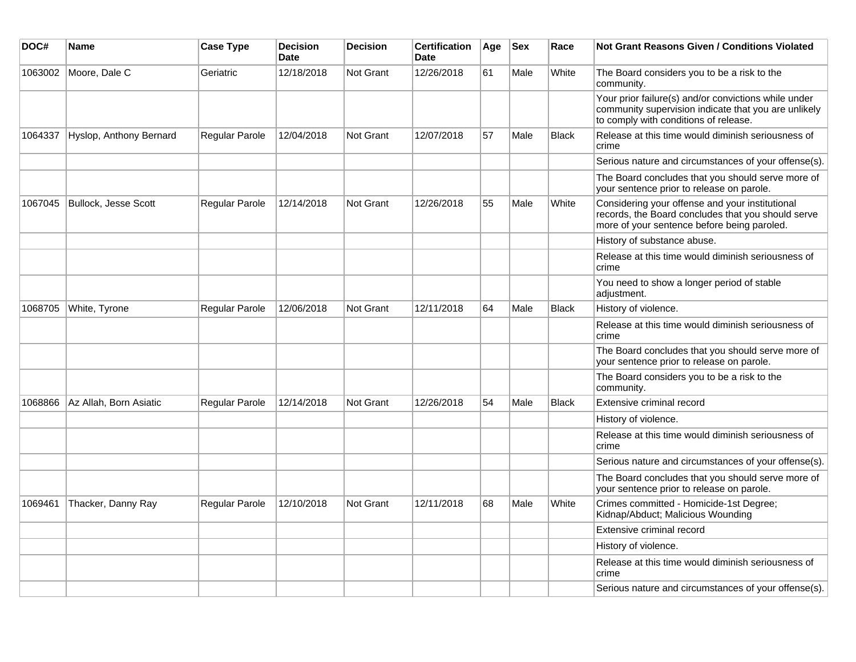| DOC#    | <b>Name</b>             | <b>Case Type</b>      | <b>Decision</b><br><b>Date</b> | <b>Decision</b>  | <b>Certification</b><br><b>Date</b> | Age | <b>Sex</b> | Race         | <b>Not Grant Reasons Given / Conditions Violated</b>                                                                                                  |
|---------|-------------------------|-----------------------|--------------------------------|------------------|-------------------------------------|-----|------------|--------------|-------------------------------------------------------------------------------------------------------------------------------------------------------|
| 1063002 | Moore, Dale C           | Geriatric             | 12/18/2018                     | <b>Not Grant</b> | 12/26/2018                          | 61  | Male       | White        | The Board considers you to be a risk to the<br>community.                                                                                             |
|         |                         |                       |                                |                  |                                     |     |            |              | Your prior failure(s) and/or convictions while under<br>community supervision indicate that you are unlikely<br>to comply with conditions of release. |
| 1064337 | Hyslop, Anthony Bernard | Regular Parole        | 12/04/2018                     | Not Grant        | 12/07/2018                          | 57  | Male       | <b>Black</b> | Release at this time would diminish seriousness of<br>crime                                                                                           |
|         |                         |                       |                                |                  |                                     |     |            |              | Serious nature and circumstances of your offense(s).                                                                                                  |
|         |                         |                       |                                |                  |                                     |     |            |              | The Board concludes that you should serve more of<br>your sentence prior to release on parole.                                                        |
| 1067045 | Bullock, Jesse Scott    | Regular Parole        | 12/14/2018                     | <b>Not Grant</b> | 12/26/2018                          | 55  | Male       | White        | Considering your offense and your institutional<br>records, the Board concludes that you should serve<br>more of your sentence before being paroled.  |
|         |                         |                       |                                |                  |                                     |     |            |              | History of substance abuse.                                                                                                                           |
|         |                         |                       |                                |                  |                                     |     |            |              | Release at this time would diminish seriousness of<br>crime                                                                                           |
|         |                         |                       |                                |                  |                                     |     |            |              | You need to show a longer period of stable<br>adjustment.                                                                                             |
| 1068705 | White, Tyrone           | <b>Regular Parole</b> | 12/06/2018                     | <b>Not Grant</b> | 12/11/2018                          | 64  | Male       | <b>Black</b> | History of violence.                                                                                                                                  |
|         |                         |                       |                                |                  |                                     |     |            |              | Release at this time would diminish seriousness of<br>crime                                                                                           |
|         |                         |                       |                                |                  |                                     |     |            |              | The Board concludes that you should serve more of<br>your sentence prior to release on parole.                                                        |
|         |                         |                       |                                |                  |                                     |     |            |              | The Board considers you to be a risk to the<br>community.                                                                                             |
| 1068866 | Az Allah, Born Asiatic  | <b>Regular Parole</b> | 12/14/2018                     | Not Grant        | 12/26/2018                          | 54  | Male       | <b>Black</b> | Extensive criminal record                                                                                                                             |
|         |                         |                       |                                |                  |                                     |     |            |              | History of violence.                                                                                                                                  |
|         |                         |                       |                                |                  |                                     |     |            |              | Release at this time would diminish seriousness of<br>crime                                                                                           |
|         |                         |                       |                                |                  |                                     |     |            |              | Serious nature and circumstances of your offense(s).                                                                                                  |
|         |                         |                       |                                |                  |                                     |     |            |              | The Board concludes that you should serve more of<br>your sentence prior to release on parole.                                                        |
| 1069461 | Thacker, Danny Ray      | <b>Regular Parole</b> | 12/10/2018                     | <b>Not Grant</b> | 12/11/2018                          | 68  | Male       | White        | Crimes committed - Homicide-1st Degree;<br>Kidnap/Abduct; Malicious Wounding                                                                          |
|         |                         |                       |                                |                  |                                     |     |            |              | Extensive criminal record                                                                                                                             |
|         |                         |                       |                                |                  |                                     |     |            |              | History of violence.                                                                                                                                  |
|         |                         |                       |                                |                  |                                     |     |            |              | Release at this time would diminish seriousness of<br>crime                                                                                           |
|         |                         |                       |                                |                  |                                     |     |            |              | Serious nature and circumstances of your offense(s).                                                                                                  |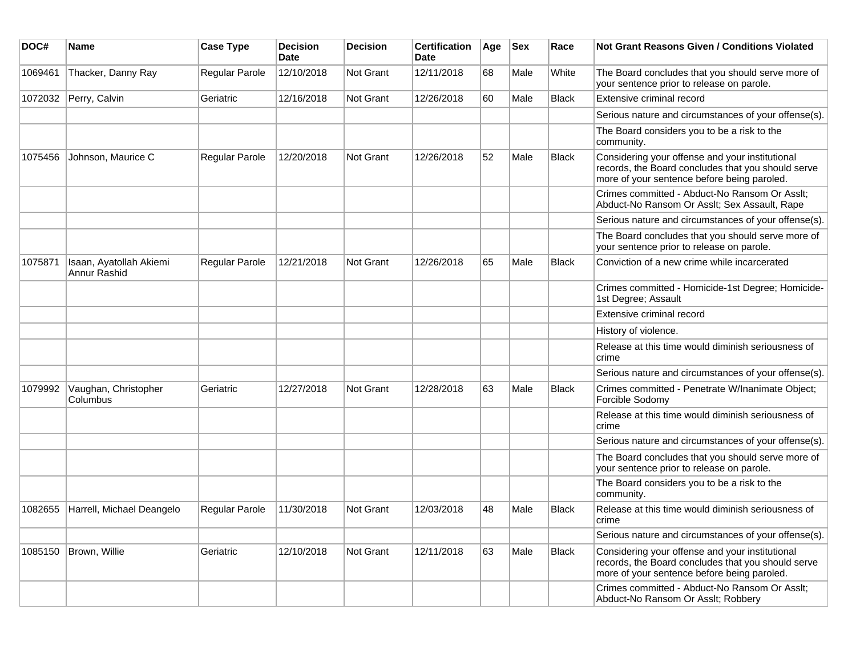| DOC#    | Name                                    | <b>Case Type</b>      | <b>Decision</b><br>Date | <b>Decision</b> | <b>Certification</b><br>Date | Age | <b>Sex</b> | Race         | Not Grant Reasons Given / Conditions Violated                                                                                                        |
|---------|-----------------------------------------|-----------------------|-------------------------|-----------------|------------------------------|-----|------------|--------------|------------------------------------------------------------------------------------------------------------------------------------------------------|
| 1069461 | Thacker, Danny Ray                      | Regular Parole        | 12/10/2018              | Not Grant       | 12/11/2018                   | 68  | Male       | White        | The Board concludes that you should serve more of<br>your sentence prior to release on parole.                                                       |
| 1072032 | Perry, Calvin                           | Geriatric             | 12/16/2018              | Not Grant       | 12/26/2018                   | 60  | Male       | <b>Black</b> | Extensive criminal record                                                                                                                            |
|         |                                         |                       |                         |                 |                              |     |            |              | Serious nature and circumstances of your offense(s).                                                                                                 |
|         |                                         |                       |                         |                 |                              |     |            |              | The Board considers you to be a risk to the<br>community.                                                                                            |
| 1075456 | Johnson, Maurice C                      | Regular Parole        | 12/20/2018              | Not Grant       | 12/26/2018                   | 52  | Male       | <b>Black</b> | Considering your offense and your institutional<br>records, the Board concludes that you should serve<br>more of your sentence before being paroled. |
|         |                                         |                       |                         |                 |                              |     |            |              | Crimes committed - Abduct-No Ransom Or Asslt;<br>Abduct-No Ransom Or Asslt; Sex Assault, Rape                                                        |
|         |                                         |                       |                         |                 |                              |     |            |              | Serious nature and circumstances of your offense(s).                                                                                                 |
|         |                                         |                       |                         |                 |                              |     |            |              | The Board concludes that you should serve more of<br>your sentence prior to release on parole.                                                       |
| 1075871 | Isaan, Ayatollah Akiemi<br>Annur Rashid | Regular Parole        | 12/21/2018              | Not Grant       | 12/26/2018                   | 65  | Male       | <b>Black</b> | Conviction of a new crime while incarcerated                                                                                                         |
|         |                                         |                       |                         |                 |                              |     |            |              | Crimes committed - Homicide-1st Degree; Homicide-<br>1st Degree; Assault                                                                             |
|         |                                         |                       |                         |                 |                              |     |            |              | Extensive criminal record                                                                                                                            |
|         |                                         |                       |                         |                 |                              |     |            |              | History of violence.                                                                                                                                 |
|         |                                         |                       |                         |                 |                              |     |            |              | Release at this time would diminish seriousness of<br>crime                                                                                          |
|         |                                         |                       |                         |                 |                              |     |            |              | Serious nature and circumstances of your offense(s).                                                                                                 |
| 1079992 | Vaughan, Christopher<br>Columbus        | Geriatric             | 12/27/2018              | Not Grant       | 12/28/2018                   | 63  | Male       | Black        | Crimes committed - Penetrate W/Inanimate Object;<br>Forcible Sodomy                                                                                  |
|         |                                         |                       |                         |                 |                              |     |            |              | Release at this time would diminish seriousness of<br>crime                                                                                          |
|         |                                         |                       |                         |                 |                              |     |            |              | Serious nature and circumstances of your offense(s).                                                                                                 |
|         |                                         |                       |                         |                 |                              |     |            |              | The Board concludes that you should serve more of<br>your sentence prior to release on parole.                                                       |
|         |                                         |                       |                         |                 |                              |     |            |              | The Board considers you to be a risk to the<br>community.                                                                                            |
| 1082655 | Harrell, Michael Deangelo               | <b>Regular Parole</b> | 11/30/2018              | Not Grant       | 12/03/2018                   | 48  | Male       | <b>Black</b> | Release at this time would diminish seriousness of<br>crime                                                                                          |
|         |                                         |                       |                         |                 |                              |     |            |              | Serious nature and circumstances of your offense(s).                                                                                                 |
| 1085150 | Brown, Willie                           | Geriatric             | 12/10/2018              | Not Grant       | 12/11/2018                   | 63  | Male       | Black        | Considering your offense and your institutional<br>records, the Board concludes that you should serve<br>more of your sentence before being paroled. |
|         |                                         |                       |                         |                 |                              |     |            |              | Crimes committed - Abduct-No Ransom Or Asslt;<br>Abduct-No Ransom Or Asslt; Robbery                                                                  |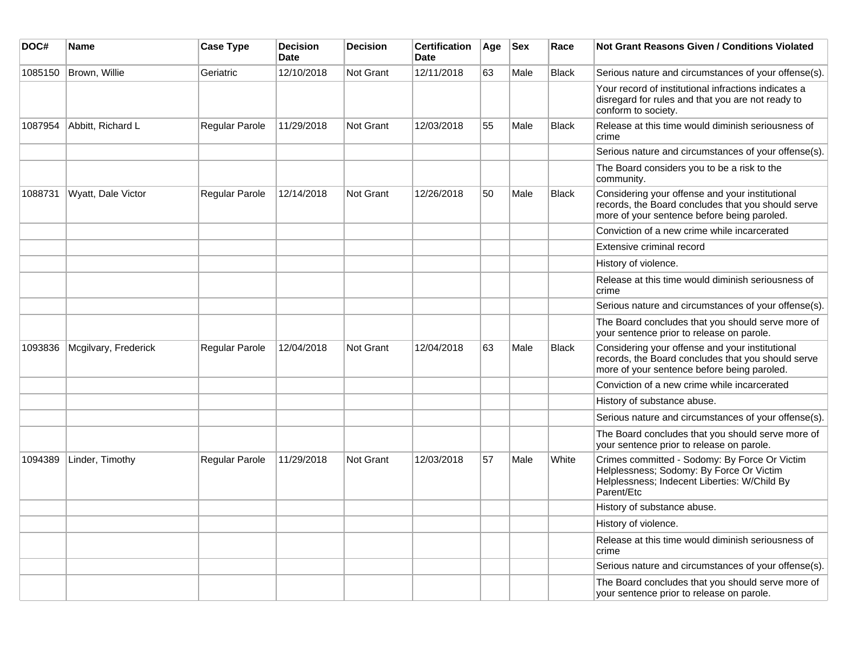| DOC#    | <b>Name</b>          | <b>Case Type</b> | <b>Decision</b><br><b>Date</b> | <b>Decision</b>  | <b>Certification</b><br><b>Date</b> | Age | <b>Sex</b> | Race         | <b>Not Grant Reasons Given / Conditions Violated</b>                                                                                                    |
|---------|----------------------|------------------|--------------------------------|------------------|-------------------------------------|-----|------------|--------------|---------------------------------------------------------------------------------------------------------------------------------------------------------|
| 1085150 | Brown, Willie        | Geriatric        | 12/10/2018                     | <b>Not Grant</b> | 12/11/2018                          | 63  | Male       | <b>Black</b> | Serious nature and circumstances of your offense(s).                                                                                                    |
|         |                      |                  |                                |                  |                                     |     |            |              | Your record of institutional infractions indicates a<br>disregard for rules and that you are not ready to<br>conform to society.                        |
| 1087954 | Abbitt, Richard L    | Regular Parole   | 11/29/2018                     | Not Grant        | 12/03/2018                          | 55  | Male       | <b>Black</b> | Release at this time would diminish seriousness of<br>crime                                                                                             |
|         |                      |                  |                                |                  |                                     |     |            |              | Serious nature and circumstances of your offense(s).                                                                                                    |
|         |                      |                  |                                |                  |                                     |     |            |              | The Board considers you to be a risk to the<br>community.                                                                                               |
| 1088731 | Wyatt, Dale Victor   | Regular Parole   | 12/14/2018                     | <b>Not Grant</b> | 12/26/2018                          | 50  | Male       | <b>Black</b> | Considering your offense and your institutional<br>records, the Board concludes that you should serve<br>more of your sentence before being paroled.    |
|         |                      |                  |                                |                  |                                     |     |            |              | Conviction of a new crime while incarcerated                                                                                                            |
|         |                      |                  |                                |                  |                                     |     |            |              | Extensive criminal record                                                                                                                               |
|         |                      |                  |                                |                  |                                     |     |            |              | History of violence.                                                                                                                                    |
|         |                      |                  |                                |                  |                                     |     |            |              | Release at this time would diminish seriousness of<br>crime                                                                                             |
|         |                      |                  |                                |                  |                                     |     |            |              | Serious nature and circumstances of your offense(s).                                                                                                    |
|         |                      |                  |                                |                  |                                     |     |            |              | The Board concludes that you should serve more of<br>your sentence prior to release on parole.                                                          |
| 1093836 | Mcgilvary, Frederick | Regular Parole   | 12/04/2018                     | <b>Not Grant</b> | 12/04/2018                          | 63  | Male       | <b>Black</b> | Considering your offense and your institutional<br>records, the Board concludes that you should serve<br>more of your sentence before being paroled.    |
|         |                      |                  |                                |                  |                                     |     |            |              | Conviction of a new crime while incarcerated                                                                                                            |
|         |                      |                  |                                |                  |                                     |     |            |              | History of substance abuse.                                                                                                                             |
|         |                      |                  |                                |                  |                                     |     |            |              | Serious nature and circumstances of your offense(s).                                                                                                    |
|         |                      |                  |                                |                  |                                     |     |            |              | The Board concludes that you should serve more of<br>your sentence prior to release on parole.                                                          |
| 1094389 | Linder, Timothy      | Regular Parole   | 11/29/2018                     | <b>Not Grant</b> | 12/03/2018                          | 57  | Male       | White        | Crimes committed - Sodomy: By Force Or Victim<br>Helplessness; Sodomy: By Force Or Victim<br>Helplessness; Indecent Liberties: W/Child By<br>Parent/Etc |
|         |                      |                  |                                |                  |                                     |     |            |              | History of substance abuse.                                                                                                                             |
|         |                      |                  |                                |                  |                                     |     |            |              | History of violence.                                                                                                                                    |
|         |                      |                  |                                |                  |                                     |     |            |              | Release at this time would diminish seriousness of<br>crime                                                                                             |
|         |                      |                  |                                |                  |                                     |     |            |              | Serious nature and circumstances of your offense(s).                                                                                                    |
|         |                      |                  |                                |                  |                                     |     |            |              | The Board concludes that you should serve more of<br>your sentence prior to release on parole.                                                          |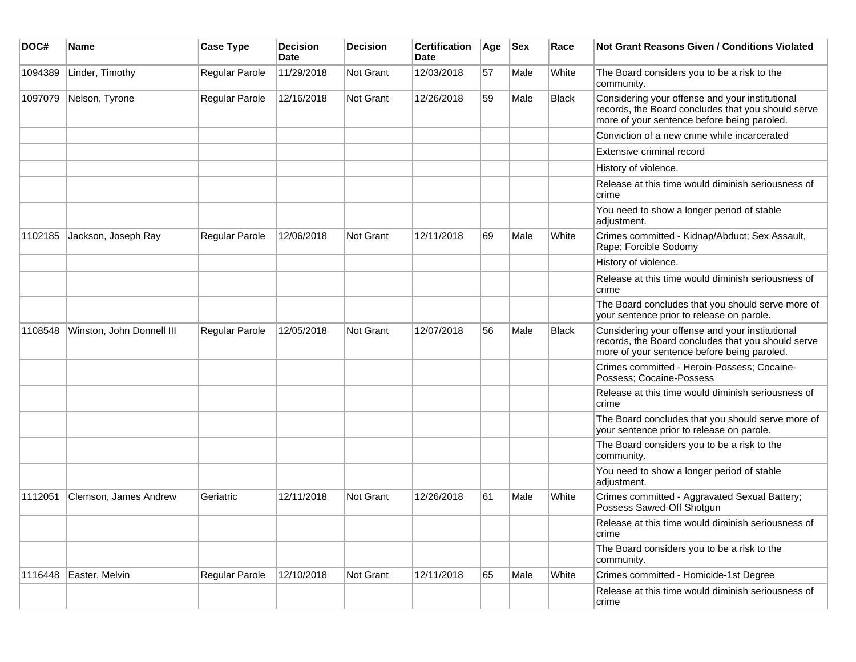| DOC#    | <b>Name</b>               | <b>Case Type</b> | Decision<br><b>Date</b> | <b>Decision</b>  | <b>Certification</b><br>Date | Age | $ $ Sex | Race         | <b>Not Grant Reasons Given / Conditions Violated</b>                                                                                                 |
|---------|---------------------------|------------------|-------------------------|------------------|------------------------------|-----|---------|--------------|------------------------------------------------------------------------------------------------------------------------------------------------------|
| 1094389 | Linder, Timothy           | Regular Parole   | 11/29/2018              | <b>Not Grant</b> | 12/03/2018                   | 57  | Male    | White        | The Board considers you to be a risk to the<br>community.                                                                                            |
| 1097079 | Nelson, Tyrone            | Regular Parole   | 12/16/2018              | Not Grant        | 12/26/2018                   | 59  | Male    | <b>Black</b> | Considering your offense and your institutional<br>records, the Board concludes that you should serve<br>more of your sentence before being paroled. |
|         |                           |                  |                         |                  |                              |     |         |              | Conviction of a new crime while incarcerated                                                                                                         |
|         |                           |                  |                         |                  |                              |     |         |              | Extensive criminal record                                                                                                                            |
|         |                           |                  |                         |                  |                              |     |         |              | History of violence.                                                                                                                                 |
|         |                           |                  |                         |                  |                              |     |         |              | Release at this time would diminish seriousness of<br>crime                                                                                          |
|         |                           |                  |                         |                  |                              |     |         |              | You need to show a longer period of stable<br>adjustment.                                                                                            |
| 1102185 | Jackson, Joseph Ray       | Regular Parole   | 12/06/2018              | <b>Not Grant</b> | 12/11/2018                   | 69  | Male    | White        | Crimes committed - Kidnap/Abduct; Sex Assault,<br>Rape; Forcible Sodomy                                                                              |
|         |                           |                  |                         |                  |                              |     |         |              | History of violence.                                                                                                                                 |
|         |                           |                  |                         |                  |                              |     |         |              | Release at this time would diminish seriousness of<br>crime                                                                                          |
|         |                           |                  |                         |                  |                              |     |         |              | The Board concludes that you should serve more of<br>your sentence prior to release on parole.                                                       |
| 1108548 | Winston, John Donnell III | Regular Parole   | 12/05/2018              | Not Grant        | 12/07/2018                   | 56  | Male    | <b>Black</b> | Considering your offense and your institutional<br>records, the Board concludes that you should serve<br>more of your sentence before being paroled. |
|         |                           |                  |                         |                  |                              |     |         |              | Crimes committed - Heroin-Possess; Cocaine-<br>Possess; Cocaine-Possess                                                                              |
|         |                           |                  |                         |                  |                              |     |         |              | Release at this time would diminish seriousness of<br>crime                                                                                          |
|         |                           |                  |                         |                  |                              |     |         |              | The Board concludes that you should serve more of<br>your sentence prior to release on parole.                                                       |
|         |                           |                  |                         |                  |                              |     |         |              | The Board considers you to be a risk to the<br>community.                                                                                            |
|         |                           |                  |                         |                  |                              |     |         |              | You need to show a longer period of stable<br>adjustment.                                                                                            |
| 1112051 | Clemson, James Andrew     | Geriatric        | 12/11/2018              | <b>Not Grant</b> | 12/26/2018                   | 61  | Male    | White        | Crimes committed - Aggravated Sexual Battery;<br>Possess Sawed-Off Shotgun                                                                           |
|         |                           |                  |                         |                  |                              |     |         |              | Release at this time would diminish seriousness of<br>crime                                                                                          |
|         |                           |                  |                         |                  |                              |     |         |              | The Board considers you to be a risk to the<br>community.                                                                                            |
| 1116448 | Easter, Melvin            | Regular Parole   | 12/10/2018              | Not Grant        | 12/11/2018                   | 65  | Male    | White        | Crimes committed - Homicide-1st Degree                                                                                                               |
|         |                           |                  |                         |                  |                              |     |         |              | Release at this time would diminish seriousness of<br>crime                                                                                          |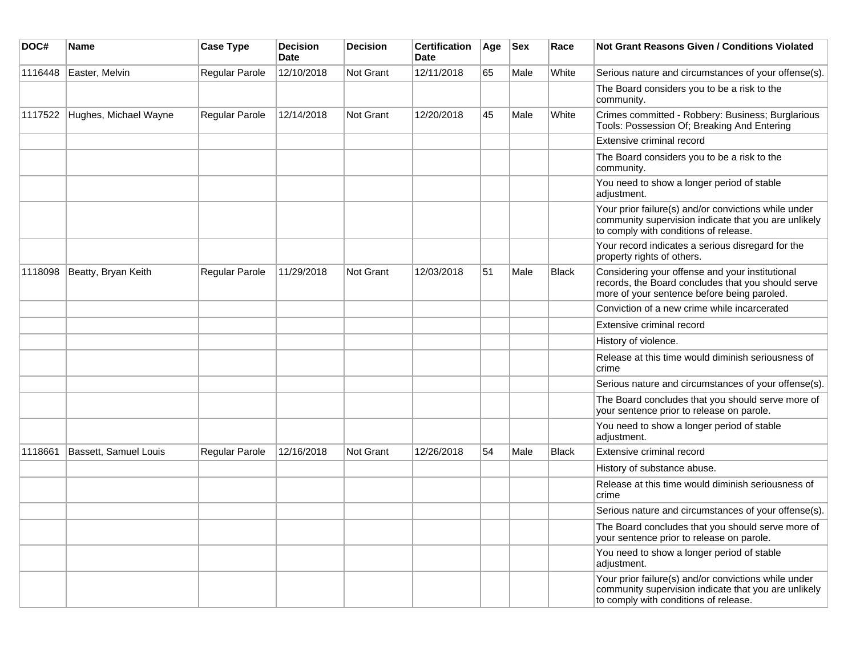| DOC#    | <b>Name</b>                  | <b>Case Type</b> | <b>Decision</b><br><b>Date</b> | <b>Decision</b> | <b>Certification</b><br>Date | Age | <b>Sex</b> | Race         | <b>Not Grant Reasons Given / Conditions Violated</b>                                                                                                  |
|---------|------------------------------|------------------|--------------------------------|-----------------|------------------------------|-----|------------|--------------|-------------------------------------------------------------------------------------------------------------------------------------------------------|
| 1116448 | Easter, Melvin               | Regular Parole   | 12/10/2018                     | Not Grant       | 12/11/2018                   | 65  | Male       | White        | Serious nature and circumstances of your offense(s).                                                                                                  |
|         |                              |                  |                                |                 |                              |     |            |              | The Board considers you to be a risk to the<br>community.                                                                                             |
| 1117522 | Hughes, Michael Wayne        | Regular Parole   | 12/14/2018                     | Not Grant       | 12/20/2018                   | 45  | Male       | White        | Crimes committed - Robbery: Business; Burglarious<br>Tools: Possession Of; Breaking And Entering                                                      |
|         |                              |                  |                                |                 |                              |     |            |              | Extensive criminal record                                                                                                                             |
|         |                              |                  |                                |                 |                              |     |            |              | The Board considers you to be a risk to the<br>community.                                                                                             |
|         |                              |                  |                                |                 |                              |     |            |              | You need to show a longer period of stable<br>adjustment.                                                                                             |
|         |                              |                  |                                |                 |                              |     |            |              | Your prior failure(s) and/or convictions while under<br>community supervision indicate that you are unlikely<br>to comply with conditions of release. |
|         |                              |                  |                                |                 |                              |     |            |              | Your record indicates a serious disregard for the<br>property rights of others.                                                                       |
| 1118098 | Beatty, Bryan Keith          | Regular Parole   | 11/29/2018                     | Not Grant       | 12/03/2018                   | 51  | Male       | <b>Black</b> | Considering your offense and your institutional<br>records, the Board concludes that you should serve<br>more of your sentence before being paroled.  |
|         |                              |                  |                                |                 |                              |     |            |              | Conviction of a new crime while incarcerated                                                                                                          |
|         |                              |                  |                                |                 |                              |     |            |              | Extensive criminal record                                                                                                                             |
|         |                              |                  |                                |                 |                              |     |            |              | History of violence.                                                                                                                                  |
|         |                              |                  |                                |                 |                              |     |            |              | Release at this time would diminish seriousness of<br>crime                                                                                           |
|         |                              |                  |                                |                 |                              |     |            |              | Serious nature and circumstances of your offense(s).                                                                                                  |
|         |                              |                  |                                |                 |                              |     |            |              | The Board concludes that you should serve more of<br>your sentence prior to release on parole.                                                        |
|         |                              |                  |                                |                 |                              |     |            |              | You need to show a longer period of stable<br>adjustment.                                                                                             |
| 1118661 | <b>Bassett, Samuel Louis</b> | Regular Parole   | 12/16/2018                     | Not Grant       | 12/26/2018                   | 54  | Male       | <b>Black</b> | Extensive criminal record                                                                                                                             |
|         |                              |                  |                                |                 |                              |     |            |              | History of substance abuse.                                                                                                                           |
|         |                              |                  |                                |                 |                              |     |            |              | Release at this time would diminish seriousness of<br>crime                                                                                           |
|         |                              |                  |                                |                 |                              |     |            |              | Serious nature and circumstances of your offense(s).                                                                                                  |
|         |                              |                  |                                |                 |                              |     |            |              | The Board concludes that you should serve more of<br>your sentence prior to release on parole.                                                        |
|         |                              |                  |                                |                 |                              |     |            |              | You need to show a longer period of stable<br>adjustment.                                                                                             |
|         |                              |                  |                                |                 |                              |     |            |              | Your prior failure(s) and/or convictions while under<br>community supervision indicate that you are unlikely<br>to comply with conditions of release. |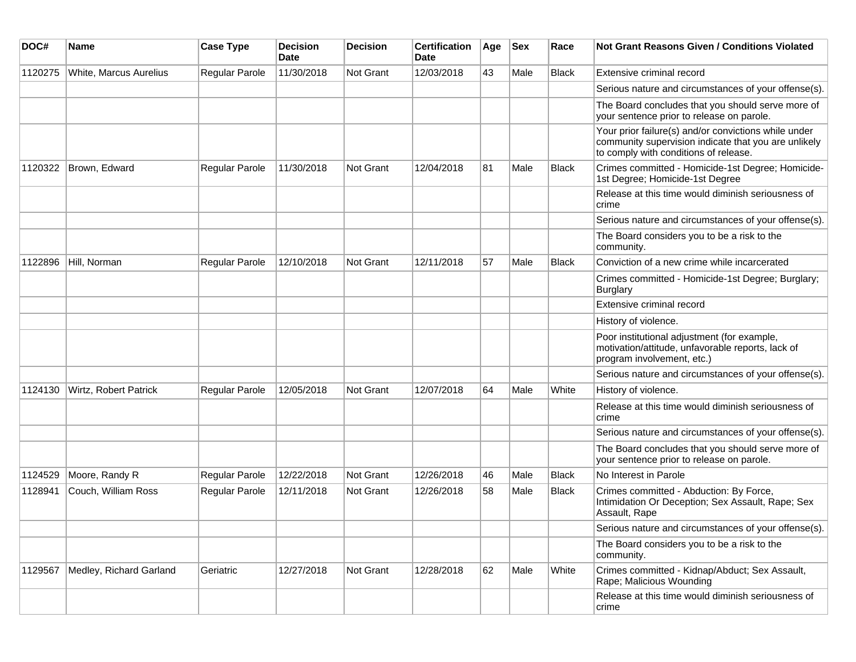| DOC#    | Name                    | <b>Case Type</b>      | <b>Decision</b><br><b>Date</b> | <b>Decision</b>  | <b>Certification</b><br>Date | Age | <b>Sex</b> | Race         | <b>Not Grant Reasons Given / Conditions Violated</b>                                                                                                  |
|---------|-------------------------|-----------------------|--------------------------------|------------------|------------------------------|-----|------------|--------------|-------------------------------------------------------------------------------------------------------------------------------------------------------|
| 1120275 | White, Marcus Aurelius  | Regular Parole        | 11/30/2018                     | <b>Not Grant</b> | 12/03/2018                   | 43  | Male       | <b>Black</b> | Extensive criminal record                                                                                                                             |
|         |                         |                       |                                |                  |                              |     |            |              | Serious nature and circumstances of your offense(s).                                                                                                  |
|         |                         |                       |                                |                  |                              |     |            |              | The Board concludes that you should serve more of<br>your sentence prior to release on parole.                                                        |
|         |                         |                       |                                |                  |                              |     |            |              | Your prior failure(s) and/or convictions while under<br>community supervision indicate that you are unlikely<br>to comply with conditions of release. |
| 1120322 | Brown, Edward           | Regular Parole        | 11/30/2018                     | <b>Not Grant</b> | 12/04/2018                   | 81  | Male       | <b>Black</b> | Crimes committed - Homicide-1st Degree; Homicide-<br>1st Degree; Homicide-1st Degree                                                                  |
|         |                         |                       |                                |                  |                              |     |            |              | Release at this time would diminish seriousness of<br>crime                                                                                           |
|         |                         |                       |                                |                  |                              |     |            |              | Serious nature and circumstances of your offense(s).                                                                                                  |
|         |                         |                       |                                |                  |                              |     |            |              | The Board considers you to be a risk to the<br>community.                                                                                             |
| 1122896 | Hill, Norman            | Regular Parole        | 12/10/2018                     | <b>Not Grant</b> | 12/11/2018                   | 57  | Male       | <b>Black</b> | Conviction of a new crime while incarcerated                                                                                                          |
|         |                         |                       |                                |                  |                              |     |            |              | Crimes committed - Homicide-1st Degree; Burglary;<br>Burglary                                                                                         |
|         |                         |                       |                                |                  |                              |     |            |              | Extensive criminal record                                                                                                                             |
|         |                         |                       |                                |                  |                              |     |            |              | History of violence.                                                                                                                                  |
|         |                         |                       |                                |                  |                              |     |            |              | Poor institutional adjustment (for example,<br>motivation/attitude, unfavorable reports, lack of<br>program involvement, etc.)                        |
|         |                         |                       |                                |                  |                              |     |            |              | Serious nature and circumstances of your offense(s).                                                                                                  |
| 1124130 | Wirtz, Robert Patrick   | <b>Regular Parole</b> | 12/05/2018                     | <b>Not Grant</b> | 12/07/2018                   | 64  | Male       | White        | History of violence.                                                                                                                                  |
|         |                         |                       |                                |                  |                              |     |            |              | Release at this time would diminish seriousness of<br>crime                                                                                           |
|         |                         |                       |                                |                  |                              |     |            |              | Serious nature and circumstances of your offense(s).                                                                                                  |
|         |                         |                       |                                |                  |                              |     |            |              | The Board concludes that you should serve more of<br>your sentence prior to release on parole.                                                        |
| 1124529 | Moore, Randy R          | <b>Regular Parole</b> | 12/22/2018                     | Not Grant        | 12/26/2018                   | 46  | Male       | <b>Black</b> | No Interest in Parole                                                                                                                                 |
| 1128941 | Couch, William Ross     | Regular Parole        | 12/11/2018                     | <b>Not Grant</b> | 12/26/2018                   | 58  | Male       | <b>Black</b> | Crimes committed - Abduction: By Force,<br>Intimidation Or Deception; Sex Assault, Rape; Sex<br>Assault, Rape                                         |
|         |                         |                       |                                |                  |                              |     |            |              | Serious nature and circumstances of your offense(s).                                                                                                  |
|         |                         |                       |                                |                  |                              |     |            |              | The Board considers you to be a risk to the<br>community.                                                                                             |
| 1129567 | Medley, Richard Garland | Geriatric             | 12/27/2018                     | <b>Not Grant</b> | 12/28/2018                   | 62  | Male       | White        | Crimes committed - Kidnap/Abduct; Sex Assault,<br>Rape; Malicious Wounding                                                                            |
|         |                         |                       |                                |                  |                              |     |            |              | Release at this time would diminish seriousness of<br>crime                                                                                           |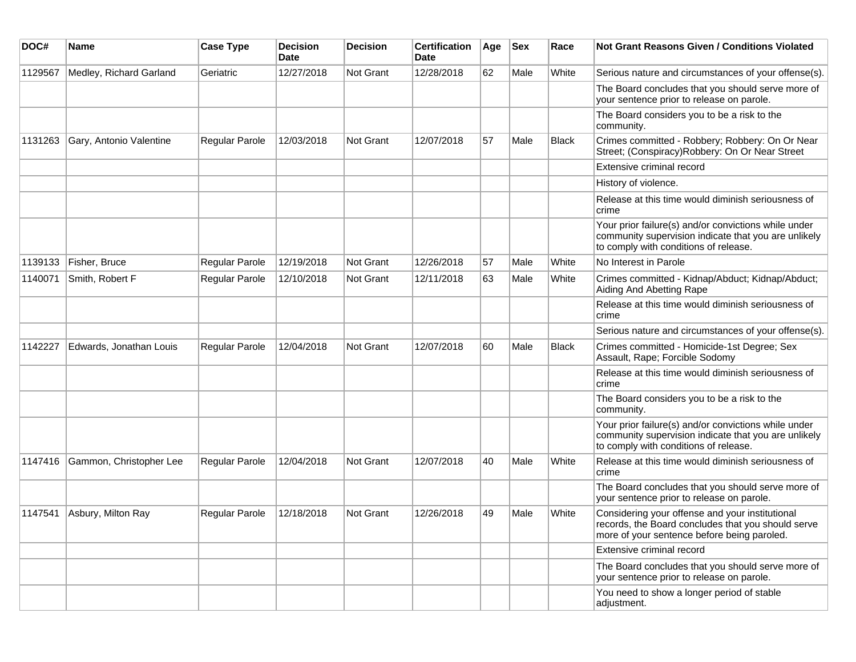| DOC#    | <b>Name</b>             | <b>Case Type</b>      | <b>Decision</b><br>Date | <b>Decision</b>  | <b>Certification</b><br>Date | Age | <b>Sex</b> | Race  | <b>Not Grant Reasons Given / Conditions Violated</b>                                                                                                  |
|---------|-------------------------|-----------------------|-------------------------|------------------|------------------------------|-----|------------|-------|-------------------------------------------------------------------------------------------------------------------------------------------------------|
| 1129567 | Medley, Richard Garland | Geriatric             | 12/27/2018              | <b>Not Grant</b> | 12/28/2018                   | 62  | Male       | White | Serious nature and circumstances of your offense(s).                                                                                                  |
|         |                         |                       |                         |                  |                              |     |            |       | The Board concludes that you should serve more of<br>your sentence prior to release on parole.                                                        |
|         |                         |                       |                         |                  |                              |     |            |       | The Board considers you to be a risk to the<br>community.                                                                                             |
| 1131263 | Gary, Antonio Valentine | <b>Regular Parole</b> | 12/03/2018              | <b>Not Grant</b> | 12/07/2018                   | 57  | Male       | Black | Crimes committed - Robbery; Robbery: On Or Near<br>Street; (Conspiracy) Robbery: On Or Near Street                                                    |
|         |                         |                       |                         |                  |                              |     |            |       | Extensive criminal record                                                                                                                             |
|         |                         |                       |                         |                  |                              |     |            |       | History of violence.                                                                                                                                  |
|         |                         |                       |                         |                  |                              |     |            |       | Release at this time would diminish seriousness of<br>crime                                                                                           |
|         |                         |                       |                         |                  |                              |     |            |       | Your prior failure(s) and/or convictions while under<br>community supervision indicate that you are unlikely<br>to comply with conditions of release. |
| 1139133 | Fisher, Bruce           | Regular Parole        | 12/19/2018              | <b>Not Grant</b> | 12/26/2018                   | 57  | Male       | White | No Interest in Parole                                                                                                                                 |
| 1140071 | Smith, Robert F         | <b>Regular Parole</b> | 12/10/2018              | <b>Not Grant</b> | 12/11/2018                   | 63  | Male       | White | Crimes committed - Kidnap/Abduct; Kidnap/Abduct;<br>Aiding And Abetting Rape                                                                          |
|         |                         |                       |                         |                  |                              |     |            |       | Release at this time would diminish seriousness of<br>crime                                                                                           |
|         |                         |                       |                         |                  |                              |     |            |       | Serious nature and circumstances of your offense(s).                                                                                                  |
| 1142227 | Edwards, Jonathan Louis | <b>Regular Parole</b> | 12/04/2018              | Not Grant        | 12/07/2018                   | 60  | Male       | Black | Crimes committed - Homicide-1st Degree; Sex<br>Assault, Rape; Forcible Sodomy                                                                         |
|         |                         |                       |                         |                  |                              |     |            |       | Release at this time would diminish seriousness of<br>crime                                                                                           |
|         |                         |                       |                         |                  |                              |     |            |       | The Board considers you to be a risk to the<br>community.                                                                                             |
|         |                         |                       |                         |                  |                              |     |            |       | Your prior failure(s) and/or convictions while under<br>community supervision indicate that you are unlikely<br>to comply with conditions of release. |
| 1147416 | Gammon, Christopher Lee | <b>Regular Parole</b> | 12/04/2018              | Not Grant        | 12/07/2018                   | 40  | Male       | White | Release at this time would diminish seriousness of<br>crime                                                                                           |
|         |                         |                       |                         |                  |                              |     |            |       | The Board concludes that you should serve more of<br>your sentence prior to release on parole.                                                        |
| 1147541 | Asbury, Milton Ray      | <b>Regular Parole</b> | 12/18/2018              | <b>Not Grant</b> | 12/26/2018                   | 49  | Male       | White | Considering your offense and your institutional<br>records, the Board concludes that you should serve<br>more of your sentence before being paroled.  |
|         |                         |                       |                         |                  |                              |     |            |       | Extensive criminal record                                                                                                                             |
|         |                         |                       |                         |                  |                              |     |            |       | The Board concludes that you should serve more of<br>your sentence prior to release on parole.                                                        |
|         |                         |                       |                         |                  |                              |     |            |       | You need to show a longer period of stable<br>adjustment.                                                                                             |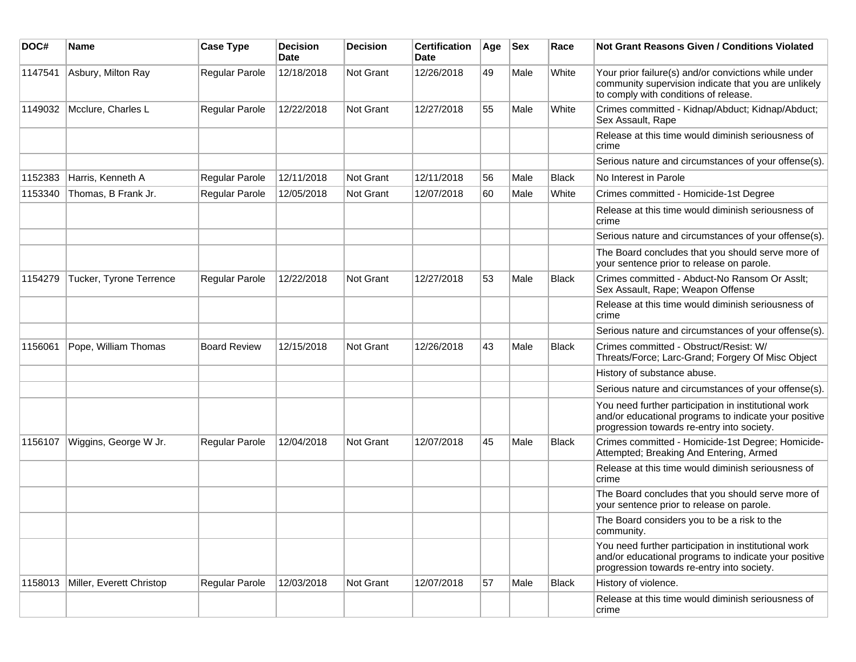| DOC#    | <b>Name</b>              | <b>Case Type</b>    | <b>Decision</b><br>Date | <b>Decision</b> | <b>Certification</b><br>Date | Age | <b>Sex</b> | Race         | Not Grant Reasons Given / Conditions Violated                                                                                                               |
|---------|--------------------------|---------------------|-------------------------|-----------------|------------------------------|-----|------------|--------------|-------------------------------------------------------------------------------------------------------------------------------------------------------------|
| 1147541 | Asbury, Milton Ray       | Regular Parole      | 12/18/2018              | Not Grant       | 12/26/2018                   | 49  | Male       | White        | Your prior failure(s) and/or convictions while under<br>community supervision indicate that you are unlikely<br>to comply with conditions of release.       |
| 1149032 | Mcclure, Charles L       | Regular Parole      | 12/22/2018              | Not Grant       | 12/27/2018                   | 55  | Male       | White        | Crimes committed - Kidnap/Abduct; Kidnap/Abduct;<br>Sex Assault, Rape                                                                                       |
|         |                          |                     |                         |                 |                              |     |            |              | Release at this time would diminish seriousness of<br>crime                                                                                                 |
|         |                          |                     |                         |                 |                              |     |            |              | Serious nature and circumstances of your offense(s).                                                                                                        |
| 1152383 | Harris, Kenneth A        | Regular Parole      | 12/11/2018              | Not Grant       | 12/11/2018                   | 56  | Male       | <b>Black</b> | No Interest in Parole                                                                                                                                       |
| 1153340 | Thomas, B Frank Jr.      | Regular Parole      | 12/05/2018              | Not Grant       | 12/07/2018                   | 60  | Male       | White        | Crimes committed - Homicide-1st Degree                                                                                                                      |
|         |                          |                     |                         |                 |                              |     |            |              | Release at this time would diminish seriousness of<br>crime                                                                                                 |
|         |                          |                     |                         |                 |                              |     |            |              | Serious nature and circumstances of your offense(s).                                                                                                        |
|         |                          |                     |                         |                 |                              |     |            |              | The Board concludes that you should serve more of<br>your sentence prior to release on parole.                                                              |
| 1154279 | Tucker, Tyrone Terrence  | Regular Parole      | 12/22/2018              | Not Grant       | 12/27/2018                   | 53  | Male       | <b>Black</b> | Crimes committed - Abduct-No Ransom Or Asslt;<br>Sex Assault, Rape; Weapon Offense                                                                          |
|         |                          |                     |                         |                 |                              |     |            |              | Release at this time would diminish seriousness of<br>crime                                                                                                 |
|         |                          |                     |                         |                 |                              |     |            |              | Serious nature and circumstances of your offense(s).                                                                                                        |
| 1156061 | Pope, William Thomas     | <b>Board Review</b> | 12/15/2018              | Not Grant       | 12/26/2018                   | 43  | Male       | <b>Black</b> | Crimes committed - Obstruct/Resist: W/<br>Threats/Force; Larc-Grand; Forgery Of Misc Object                                                                 |
|         |                          |                     |                         |                 |                              |     |            |              | History of substance abuse.                                                                                                                                 |
|         |                          |                     |                         |                 |                              |     |            |              | Serious nature and circumstances of your offense(s).                                                                                                        |
|         |                          |                     |                         |                 |                              |     |            |              | You need further participation in institutional work<br>and/or educational programs to indicate your positive<br>progression towards re-entry into society. |
| 1156107 | Wiggins, George W Jr.    | Regular Parole      | 12/04/2018              | Not Grant       | 12/07/2018                   | 45  | Male       | <b>Black</b> | Crimes committed - Homicide-1st Degree; Homicide-<br>Attempted; Breaking And Entering, Armed                                                                |
|         |                          |                     |                         |                 |                              |     |            |              | Release at this time would diminish seriousness of<br>crime                                                                                                 |
|         |                          |                     |                         |                 |                              |     |            |              | The Board concludes that you should serve more of<br>your sentence prior to release on parole.                                                              |
|         |                          |                     |                         |                 |                              |     |            |              | The Board considers you to be a risk to the<br>community.                                                                                                   |
|         |                          |                     |                         |                 |                              |     |            |              | You need further participation in institutional work<br>and/or educational programs to indicate your positive<br>progression towards re-entry into society. |
| 1158013 | Miller, Everett Christop | Regular Parole      | 12/03/2018              | Not Grant       | 12/07/2018                   | 57  | Male       | Black        | History of violence.                                                                                                                                        |
|         |                          |                     |                         |                 |                              |     |            |              | Release at this time would diminish seriousness of<br>crime                                                                                                 |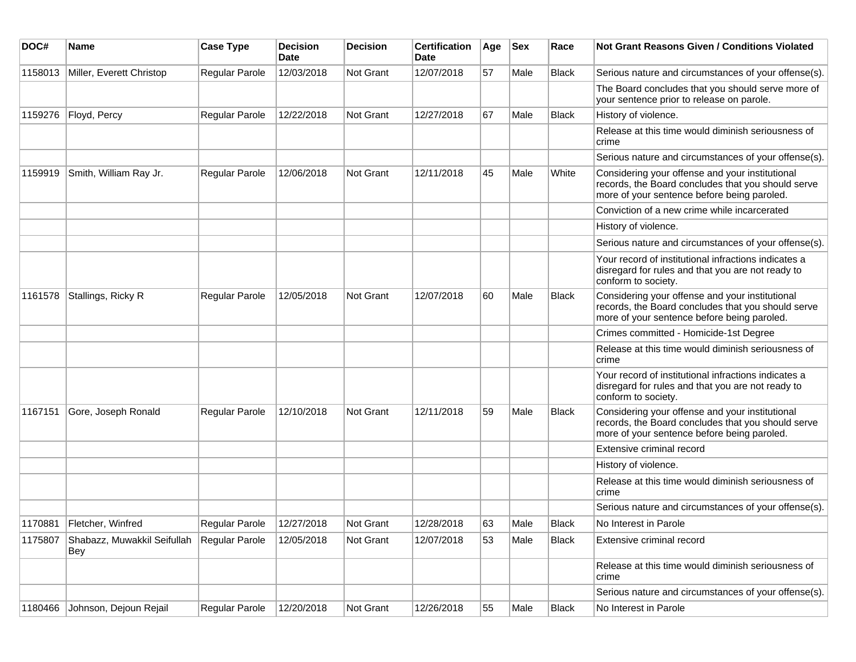| DOC#    | <b>Name</b>                        | <b>Case Type</b>      | <b>Decision</b><br>Date | <b>Decision</b>  | <b>Certification</b><br>Date | Age | <b>Sex</b> | Race         | <b>Not Grant Reasons Given / Conditions Violated</b>                                                                                                 |
|---------|------------------------------------|-----------------------|-------------------------|------------------|------------------------------|-----|------------|--------------|------------------------------------------------------------------------------------------------------------------------------------------------------|
| 1158013 | Miller, Everett Christop           | Regular Parole        | 12/03/2018              | Not Grant        | 12/07/2018                   | 57  | Male       | <b>Black</b> | Serious nature and circumstances of your offense(s).                                                                                                 |
|         |                                    |                       |                         |                  |                              |     |            |              | The Board concludes that you should serve more of<br>your sentence prior to release on parole.                                                       |
| 1159276 | Floyd, Percy                       | Regular Parole        | 12/22/2018              | <b>Not Grant</b> | 12/27/2018                   | 67  | Male       | Black        | History of violence.                                                                                                                                 |
|         |                                    |                       |                         |                  |                              |     |            |              | Release at this time would diminish seriousness of<br>crime                                                                                          |
|         |                                    |                       |                         |                  |                              |     |            |              | Serious nature and circumstances of your offense(s).                                                                                                 |
| 1159919 | Smith, William Ray Jr.             | Regular Parole        | 12/06/2018              | <b>Not Grant</b> | 12/11/2018                   | 45  | Male       | White        | Considering your offense and your institutional<br>records, the Board concludes that you should serve<br>more of your sentence before being paroled. |
|         |                                    |                       |                         |                  |                              |     |            |              | Conviction of a new crime while incarcerated                                                                                                         |
|         |                                    |                       |                         |                  |                              |     |            |              | History of violence.                                                                                                                                 |
|         |                                    |                       |                         |                  |                              |     |            |              | Serious nature and circumstances of your offense(s).                                                                                                 |
|         |                                    |                       |                         |                  |                              |     |            |              | Your record of institutional infractions indicates a<br>disregard for rules and that you are not ready to<br>conform to society.                     |
| 1161578 | Stallings, Ricky R                 | <b>Regular Parole</b> | 12/05/2018              | Not Grant        | 12/07/2018                   | 60  | Male       | <b>Black</b> | Considering your offense and your institutional<br>records, the Board concludes that you should serve<br>more of your sentence before being paroled. |
|         |                                    |                       |                         |                  |                              |     |            |              | Crimes committed - Homicide-1st Degree                                                                                                               |
|         |                                    |                       |                         |                  |                              |     |            |              | Release at this time would diminish seriousness of<br>crime                                                                                          |
|         |                                    |                       |                         |                  |                              |     |            |              | Your record of institutional infractions indicates a<br>disregard for rules and that you are not ready to<br>conform to society.                     |
| 1167151 | Gore, Joseph Ronald                | Regular Parole        | 12/10/2018              | <b>Not Grant</b> | 12/11/2018                   | 59  | Male       | <b>Black</b> | Considering your offense and your institutional<br>records, the Board concludes that you should serve<br>more of your sentence before being paroled. |
|         |                                    |                       |                         |                  |                              |     |            |              | Extensive criminal record                                                                                                                            |
|         |                                    |                       |                         |                  |                              |     |            |              | History of violence.                                                                                                                                 |
|         |                                    |                       |                         |                  |                              |     |            |              | Release at this time would diminish seriousness of<br>crime                                                                                          |
|         |                                    |                       |                         |                  |                              |     |            |              | Serious nature and circumstances of your offense(s).                                                                                                 |
|         | 1170881 Fletcher, Winfred          | Regular Parole        | 12/27/2018              | Not Grant        | 12/28/2018                   | 63  | Male       | Black        | No Interest in Parole                                                                                                                                |
| 1175807 | Shabazz, Muwakkil Seifullah<br>Bey | Regular Parole        | 12/05/2018              | Not Grant        | 12/07/2018                   | 53  | Male       | <b>Black</b> | Extensive criminal record                                                                                                                            |
|         |                                    |                       |                         |                  |                              |     |            |              | Release at this time would diminish seriousness of<br>crime                                                                                          |
|         |                                    |                       |                         |                  |                              |     |            |              | Serious nature and circumstances of your offense(s).                                                                                                 |
| 1180466 | Johnson, Dejoun Rejail             | Regular Parole        | 12/20/2018              | Not Grant        | 12/26/2018                   | 55  | Male       | Black        | No Interest in Parole                                                                                                                                |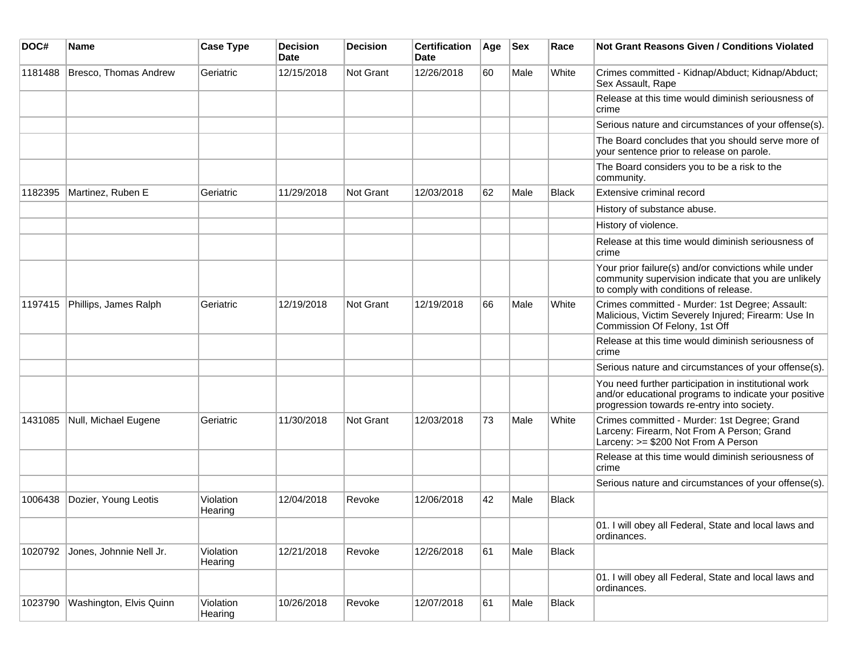| DOC#    | Name                    | <b>Case Type</b>     | <b>Decision</b><br><b>Date</b> | <b>Decision</b> | <b>Certification</b><br>Date | Age | <b>Sex</b> | Race         | Not Grant Reasons Given / Conditions Violated                                                                                                               |
|---------|-------------------------|----------------------|--------------------------------|-----------------|------------------------------|-----|------------|--------------|-------------------------------------------------------------------------------------------------------------------------------------------------------------|
| 1181488 | Bresco, Thomas Andrew   | Geriatric            | 12/15/2018                     | Not Grant       | 12/26/2018                   | 60  | Male       | White        | Crimes committed - Kidnap/Abduct; Kidnap/Abduct;<br>Sex Assault, Rape                                                                                       |
|         |                         |                      |                                |                 |                              |     |            |              | Release at this time would diminish seriousness of<br>crime                                                                                                 |
|         |                         |                      |                                |                 |                              |     |            |              | Serious nature and circumstances of your offense(s).                                                                                                        |
|         |                         |                      |                                |                 |                              |     |            |              | The Board concludes that you should serve more of<br>your sentence prior to release on parole.                                                              |
|         |                         |                      |                                |                 |                              |     |            |              | The Board considers you to be a risk to the<br>community.                                                                                                   |
| 1182395 | Martinez, Ruben E       | Geriatric            | 11/29/2018                     | Not Grant       | 12/03/2018                   | 62  | Male       | <b>Black</b> | Extensive criminal record                                                                                                                                   |
|         |                         |                      |                                |                 |                              |     |            |              | History of substance abuse.                                                                                                                                 |
|         |                         |                      |                                |                 |                              |     |            |              | History of violence.                                                                                                                                        |
|         |                         |                      |                                |                 |                              |     |            |              | Release at this time would diminish seriousness of<br>crime                                                                                                 |
|         |                         |                      |                                |                 |                              |     |            |              | Your prior failure(s) and/or convictions while under<br>community supervision indicate that you are unlikely<br>to comply with conditions of release.       |
| 1197415 | Phillips, James Ralph   | Geriatric            | 12/19/2018                     | Not Grant       | 12/19/2018                   | 66  | Male       | White        | Crimes committed - Murder: 1st Degree; Assault:<br>Malicious, Victim Severely Injured; Firearm: Use In<br>Commission Of Felony, 1st Off                     |
|         |                         |                      |                                |                 |                              |     |            |              | Release at this time would diminish seriousness of<br>crime                                                                                                 |
|         |                         |                      |                                |                 |                              |     |            |              | Serious nature and circumstances of your offense(s).                                                                                                        |
|         |                         |                      |                                |                 |                              |     |            |              | You need further participation in institutional work<br>and/or educational programs to indicate your positive<br>progression towards re-entry into society. |
| 1431085 | Null, Michael Eugene    | Geriatric            | 11/30/2018                     | Not Grant       | 12/03/2018                   | 73  | Male       | White        | Crimes committed - Murder: 1st Degree; Grand<br>Larceny: Firearm, Not From A Person; Grand<br>Larceny: >= \$200 Not From A Person                           |
|         |                         |                      |                                |                 |                              |     |            |              | Release at this time would diminish seriousness of<br>crime                                                                                                 |
|         |                         |                      |                                |                 |                              |     |            |              | Serious nature and circumstances of your offense(s).                                                                                                        |
| 1006438 | Dozier, Young Leotis    | Violation<br>Hearing | 12/04/2018                     | Revoke          | 12/06/2018                   | 42  | Male       | Black        |                                                                                                                                                             |
|         |                         |                      |                                |                 |                              |     |            |              | 01. I will obey all Federal, State and local laws and<br>ordinances.                                                                                        |
| 1020792 | Jones, Johnnie Nell Jr. | Violation<br>Hearing | 12/21/2018                     | Revoke          | 12/26/2018                   | 61  | Male       | Black        |                                                                                                                                                             |
|         |                         |                      |                                |                 |                              |     |            |              | 01. I will obey all Federal, State and local laws and<br>ordinances.                                                                                        |
| 1023790 | Washington, Elvis Quinn | Violation<br>Hearing | 10/26/2018                     | Revoke          | 12/07/2018                   | 61  | Male       | Black        |                                                                                                                                                             |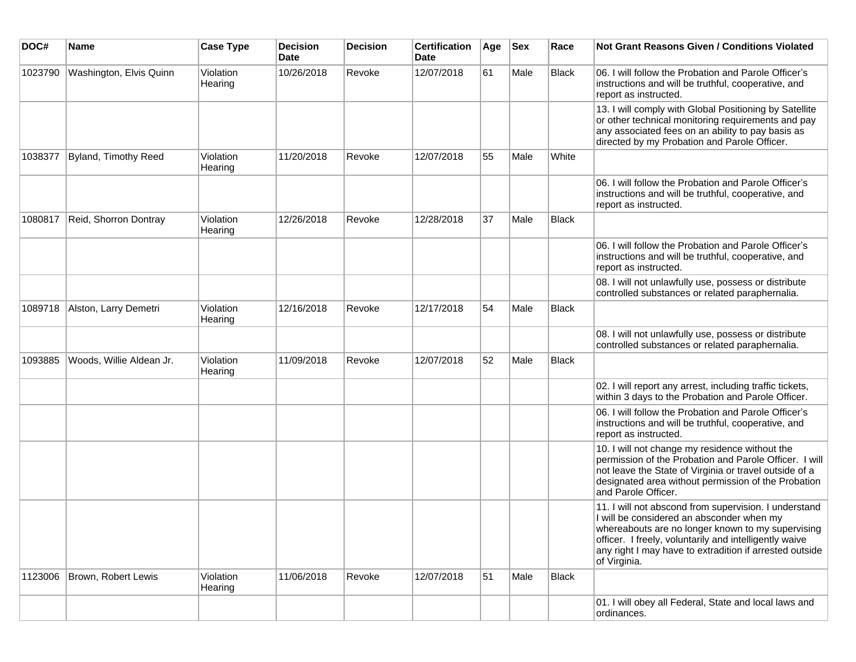| DOC#    | <b>Name</b>                 | <b>Case Type</b>     | <b>Decision</b><br><b>Date</b> | <b>Decision</b> | <b>Certification</b><br>Date | Age | <b>Sex</b> | Race  | Not Grant Reasons Given / Conditions Violated                                                                                                                                                                                                                                                |
|---------|-----------------------------|----------------------|--------------------------------|-----------------|------------------------------|-----|------------|-------|----------------------------------------------------------------------------------------------------------------------------------------------------------------------------------------------------------------------------------------------------------------------------------------------|
| 1023790 | Washington, Elvis Quinn     | Violation<br>Hearing | 10/26/2018                     | Revoke          | 12/07/2018                   | 61  | Male       | Black | 06. I will follow the Probation and Parole Officer's<br>instructions and will be truthful, cooperative, and<br>report as instructed.                                                                                                                                                         |
|         |                             |                      |                                |                 |                              |     |            |       | 13. I will comply with Global Positioning by Satellite<br>or other technical monitoring requirements and pay<br>any associated fees on an ability to pay basis as<br>directed by my Probation and Parole Officer.                                                                            |
| 1038377 | <b>Byland, Timothy Reed</b> | Violation<br>Hearing | 11/20/2018                     | Revoke          | 12/07/2018                   | 55  | Male       | White |                                                                                                                                                                                                                                                                                              |
|         |                             |                      |                                |                 |                              |     |            |       | 06. I will follow the Probation and Parole Officer's<br>instructions and will be truthful, cooperative, and<br>report as instructed.                                                                                                                                                         |
| 1080817 | Reid, Shorron Dontray       | Violation<br>Hearing | 12/26/2018                     | Revoke          | 12/28/2018                   | 37  | Male       | Black |                                                                                                                                                                                                                                                                                              |
|         |                             |                      |                                |                 |                              |     |            |       | 06. I will follow the Probation and Parole Officer's<br>instructions and will be truthful, cooperative, and<br>report as instructed.                                                                                                                                                         |
|         |                             |                      |                                |                 |                              |     |            |       | 08. I will not unlawfully use, possess or distribute<br>controlled substances or related paraphernalia.                                                                                                                                                                                      |
| 1089718 | Alston, Larry Demetri       | Violation<br>Hearing | 12/16/2018                     | Revoke          | 12/17/2018                   | 54  | Male       | Black |                                                                                                                                                                                                                                                                                              |
|         |                             |                      |                                |                 |                              |     |            |       | 08. I will not unlawfully use, possess or distribute<br>controlled substances or related paraphernalia.                                                                                                                                                                                      |
| 1093885 | Woods, Willie Aldean Jr.    | Violation<br>Hearing | 11/09/2018                     | Revoke          | 12/07/2018                   | 52  | Male       | Black |                                                                                                                                                                                                                                                                                              |
|         |                             |                      |                                |                 |                              |     |            |       | 02. I will report any arrest, including traffic tickets,<br>within 3 days to the Probation and Parole Officer.                                                                                                                                                                               |
|         |                             |                      |                                |                 |                              |     |            |       | 06. I will follow the Probation and Parole Officer's<br>instructions and will be truthful, cooperative, and<br>report as instructed.                                                                                                                                                         |
|         |                             |                      |                                |                 |                              |     |            |       | 10. I will not change my residence without the<br>permission of the Probation and Parole Officer. I will<br>not leave the State of Virginia or travel outside of a<br>designated area without permission of the Probation<br>and Parole Officer.                                             |
|         |                             |                      |                                |                 |                              |     |            |       | 11. I will not abscond from supervision. I understand<br>I will be considered an absconder when my<br>whereabouts are no longer known to my supervising<br>officer. I freely, voluntarily and intelligently waive<br>any right I may have to extradition if arrested outside<br>of Virginia. |
| 1123006 | Brown, Robert Lewis         | Violation<br>Hearing | 11/06/2018                     | Revoke          | 12/07/2018                   | 51  | Male       | Black |                                                                                                                                                                                                                                                                                              |
|         |                             |                      |                                |                 |                              |     |            |       | 01. I will obey all Federal, State and local laws and<br>ordinances.                                                                                                                                                                                                                         |